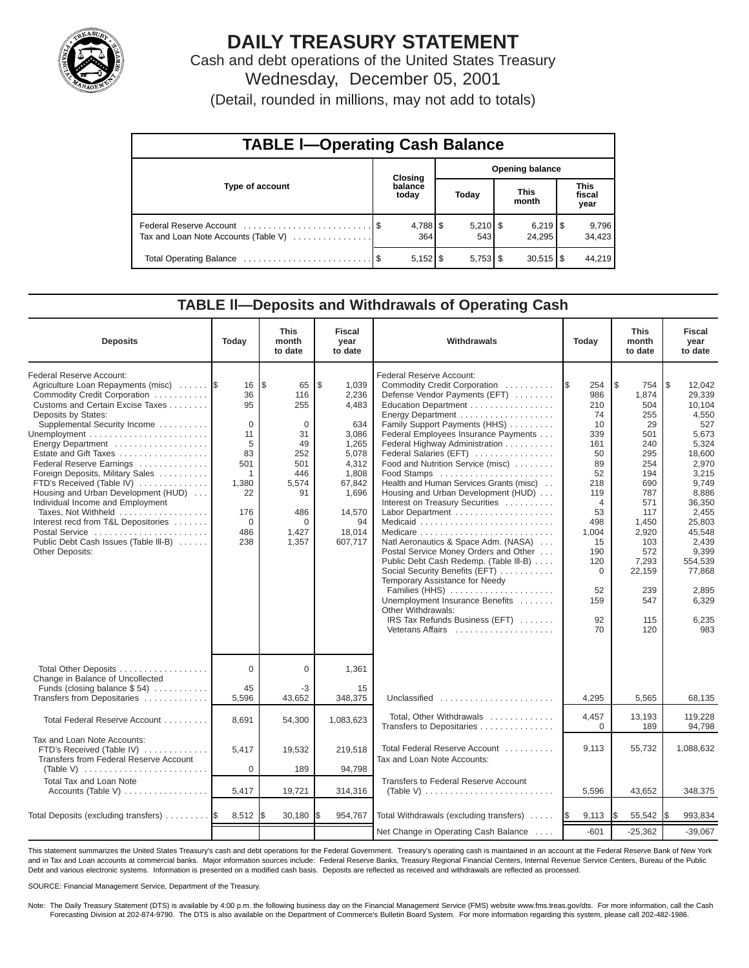

# **DAILY TREASURY STATEMENT**

Cash and debt operations of the United States Treasury Wednesday, December 05, 2001

(Detail, rounded in millions, may not add to totals)

| <b>TABLE I-Operating Cash Balance</b> |  |                  |                        |     |                      |                                 |                               |                 |  |
|---------------------------------------|--|------------------|------------------------|-----|----------------------|---------------------------------|-------------------------------|-----------------|--|
| Type of account                       |  | <b>Closing</b>   | <b>Opening balance</b> |     |                      |                                 |                               |                 |  |
|                                       |  | balance<br>today | Today                  |     | <b>This</b><br>month |                                 | <b>This</b><br>fiscal<br>year |                 |  |
| Tax and Loan Note Accounts (Table V)  |  | 364              |                        | 543 |                      | $6,219$ $\frac{8}{3}$<br>24.295 |                               | 9,796<br>34,423 |  |
|                                       |  |                  |                        |     |                      | $30,515$ $\frac{1}{3}$          |                               | 44,219          |  |

#### **TABLE ll—Deposits and Withdrawals of Operating Cash**

| <b>Deposits</b>                                                                                                                                                                                                                                                                                                                                                                                                                                                                                                                                             | Today                                                                                                              | <b>This</b><br>month<br>to date                                                                                        | <b>Fiscal</b><br>year<br>to date                                                                                                            | Withdrawals                                                                                                                                                                                                                                                                                                                                                                                                                                                                                                                                                                                                                                                                                                                                                                                      | Today                                                                                                                                                                                     | This<br>month<br>to date                                                                                                                                                              | <b>Fiscal</b><br>year<br>to date                                                                                                                                                                                                   |
|-------------------------------------------------------------------------------------------------------------------------------------------------------------------------------------------------------------------------------------------------------------------------------------------------------------------------------------------------------------------------------------------------------------------------------------------------------------------------------------------------------------------------------------------------------------|--------------------------------------------------------------------------------------------------------------------|------------------------------------------------------------------------------------------------------------------------|---------------------------------------------------------------------------------------------------------------------------------------------|--------------------------------------------------------------------------------------------------------------------------------------------------------------------------------------------------------------------------------------------------------------------------------------------------------------------------------------------------------------------------------------------------------------------------------------------------------------------------------------------------------------------------------------------------------------------------------------------------------------------------------------------------------------------------------------------------------------------------------------------------------------------------------------------------|-------------------------------------------------------------------------------------------------------------------------------------------------------------------------------------------|---------------------------------------------------------------------------------------------------------------------------------------------------------------------------------------|------------------------------------------------------------------------------------------------------------------------------------------------------------------------------------------------------------------------------------|
| Federal Reserve Account:<br>Agriculture Loan Repayments (misc)<br>Commodity Credit Corporation<br>Customs and Certain Excise Taxes<br>Deposits by States:<br>Supplemental Security Income<br>Energy Department<br>Estate and Gift Taxes<br>Federal Reserve Earnings<br>Foreign Deposits, Military Sales<br>FTD's Received (Table IV)<br>Housing and Urban Development (HUD)<br>Individual Income and Employment<br>Taxes, Not Withheld<br>Interest recd from T&L Depositories<br>Postal Service<br>Public Debt Cash Issues (Table III-B)<br>Other Deposits: | 16<br>36<br>95<br>$\Omega$<br>11<br>5<br>83<br>501<br>$\mathbf{1}$<br>1,380<br>22<br>176<br>$\Omega$<br>486<br>238 | <b>S</b><br>65<br>116<br>255<br>$\Omega$<br>31<br>49<br>252<br>501<br>446<br>5,574<br>91<br>486<br>U<br>1,427<br>1,357 | l \$<br>1,039<br>2,236<br>4,483<br>634<br>3,086<br>1,265<br>5.078<br>4,312<br>1,808<br>67,842<br>1,696<br>14,570<br>94<br>18,014<br>607,717 | Federal Reserve Account:<br>Commodity Credit Corporation<br>Defense Vendor Payments (EFT)<br>Education Department<br>Energy Department<br>Family Support Payments (HHS)<br>Federal Employees Insurance Payments<br>Federal Highway Administration<br>Federal Salaries (EFT)<br>Food and Nutrition Service (misc)<br>Food Stamps<br>Health and Human Services Grants (misc)<br>Housing and Urban Development (HUD)<br>Interest on Treasury Securities<br>Medicare<br>Natl Aeronautics & Space Adm. (NASA)<br>Postal Service Money Orders and Other<br>Public Debt Cash Redemp. (Table III-B)<br>Social Security Benefits (EFT)<br>Temporary Assistance for Needy<br>Families (HHS)<br>Unemployment Insurance Benefits<br>Other Withdrawals:<br>IRS Tax Refunds Business (EFT)<br>Veterans Affairs | 254<br><b>IS</b><br>986<br>210<br>74<br>10<br>339<br>161<br>50<br>89<br>52<br>218<br>119<br>$\overline{4}$<br>53<br>498<br>1,004<br>15<br>190<br>120<br>$\Omega$<br>52<br>159<br>92<br>70 | 1\$<br>754<br>1.874<br>504<br>255<br>29<br>501<br>240<br>295<br>254<br>194<br>690<br>787<br>571<br>117<br>1,450<br>2,920<br>103<br>572<br>7,293<br>22,159<br>239<br>547<br>115<br>120 | l \$<br>12.042<br>29.339<br>10.104<br>4,550<br>527<br>5.673<br>5,324<br>18.600<br>2,970<br>3,215<br>9,749<br>8,886<br>36,350<br>2,455<br>25,803<br>45,548<br>2,439<br>9,399<br>554,539<br>77,868<br>2,895<br>6,329<br>6,235<br>983 |
| Total Other Deposits<br>Change in Balance of Uncollected<br>Funds (closing balance $$54$ )                                                                                                                                                                                                                                                                                                                                                                                                                                                                  | $\Omega$<br>45                                                                                                     | $\Omega$<br>-3                                                                                                         | 1,361<br>15                                                                                                                                 |                                                                                                                                                                                                                                                                                                                                                                                                                                                                                                                                                                                                                                                                                                                                                                                                  |                                                                                                                                                                                           |                                                                                                                                                                                       |                                                                                                                                                                                                                                    |
| Transfers from Depositaries                                                                                                                                                                                                                                                                                                                                                                                                                                                                                                                                 | 5,596                                                                                                              | 43,652                                                                                                                 | 348,375                                                                                                                                     | Unclassified                                                                                                                                                                                                                                                                                                                                                                                                                                                                                                                                                                                                                                                                                                                                                                                     | 4,295                                                                                                                                                                                     | 5,565                                                                                                                                                                                 | 68,135                                                                                                                                                                                                                             |
| Total Federal Reserve Account                                                                                                                                                                                                                                                                                                                                                                                                                                                                                                                               | 8.691                                                                                                              | 54,300                                                                                                                 | 1,083,623                                                                                                                                   | Total, Other Withdrawals<br>Transfers to Depositaries                                                                                                                                                                                                                                                                                                                                                                                                                                                                                                                                                                                                                                                                                                                                            | 4,457<br>$\Omega$                                                                                                                                                                         | 13,193<br>189                                                                                                                                                                         | 119,228<br>94,798                                                                                                                                                                                                                  |
| Tax and Loan Note Accounts:<br>FTD's Received (Table IV)<br>Transfers from Federal Reserve Account                                                                                                                                                                                                                                                                                                                                                                                                                                                          | 5.417                                                                                                              | 19,532                                                                                                                 | 219.518                                                                                                                                     | Total Federal Reserve Account<br>Tax and Loan Note Accounts:                                                                                                                                                                                                                                                                                                                                                                                                                                                                                                                                                                                                                                                                                                                                     | 9.113                                                                                                                                                                                     | 55,732                                                                                                                                                                                | 1.088.632                                                                                                                                                                                                                          |
| (Table V) $\ldots \ldots \ldots \ldots \ldots \ldots \ldots$<br>Total Tax and Loan Note<br>Accounts (Table V)                                                                                                                                                                                                                                                                                                                                                                                                                                               | $\Omega$<br>5,417                                                                                                  | 189<br>19,721                                                                                                          | 94,798<br>314,316                                                                                                                           | Transfers to Federal Reserve Account<br>(Table V) $\ldots \ldots \ldots \ldots \ldots \ldots \ldots \ldots$                                                                                                                                                                                                                                                                                                                                                                                                                                                                                                                                                                                                                                                                                      | 5,596                                                                                                                                                                                     | 43,652                                                                                                                                                                                | 348,375                                                                                                                                                                                                                            |
| Total Deposits (excluding transfers)                                                                                                                                                                                                                                                                                                                                                                                                                                                                                                                        | 8,512                                                                                                              | 30,180                                                                                                                 | 954,767                                                                                                                                     | Total Withdrawals (excluding transfers)  S                                                                                                                                                                                                                                                                                                                                                                                                                                                                                                                                                                                                                                                                                                                                                       | 9,113                                                                                                                                                                                     | 55,542<br>l\$                                                                                                                                                                         | 993,834<br>I\$                                                                                                                                                                                                                     |
|                                                                                                                                                                                                                                                                                                                                                                                                                                                                                                                                                             |                                                                                                                    |                                                                                                                        |                                                                                                                                             | Net Change in Operating Cash Balance                                                                                                                                                                                                                                                                                                                                                                                                                                                                                                                                                                                                                                                                                                                                                             | $-601$                                                                                                                                                                                    | $-25,362$                                                                                                                                                                             | $-39,067$                                                                                                                                                                                                                          |

This statement summarizes the United States Treasury's cash and debt operations for the Federal Government. Treasury's operating cash is maintained in an account at the Federal Reserve Bank of New York and in Tax and Loan accounts at commercial banks. Major information sources include: Federal Reserve Banks, Treasury Regional Financial Centers, Internal Revenue Service Centers, Bureau of the Public Debt and various electronic systems. Information is presented on a modified cash basis. Deposits are reflected as received and withdrawals are reflected as processed.

SOURCE: Financial Management Service, Department of the Treasury.

Note: The Daily Treasury Statement (DTS) is available by 4:00 p.m. the following business day on the Financial Management Service (FMS) website www.fms.treas.gov/dts. For more information, call the Cash Forecasting Division at 202-874-9790. The DTS is also available on the Department of Commerce's Bulletin Board System. For more information regarding this system, please call 202-482-1986.